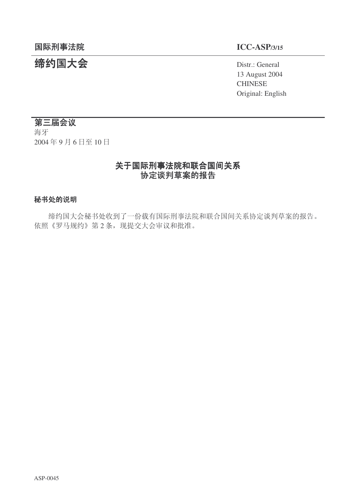# 结约国大会 **The Contract of Second Act of Second** Distr.: General

13 August 2004 **CHINESE** Original: English

# 第三届会议

海牙 2004年9月6日至10日

# 关于国际刑事法院和联合国间关系 协定谈判草案的报告

#### 秘书处的说明

缔约国大会秘书处收到了一份载有国际刑事法院和联合国间关系协定谈判草案的报告。 依照《罗马规约》第2条, 现提交大会审议和批准。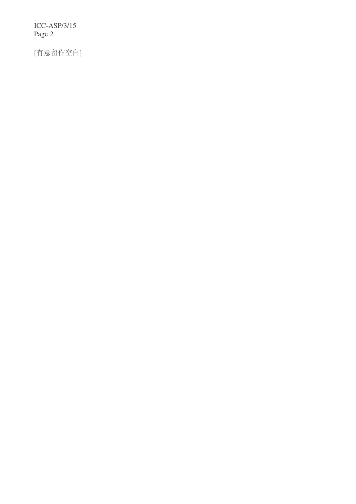ICC-ASP/3/15 Page 2

[有意留作空白]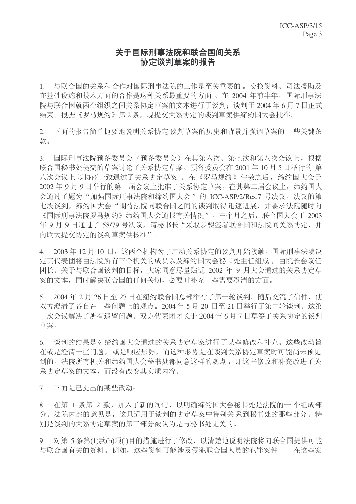# 关于国际刑事法院和联合国间关系 协定谈判草案的报告

1. 与联合国的关系和合作对国际刑事法院的工作是至关重要的。交换资料、司法援助及 在基础设施和技术方面的合作是这种关系最重要的方面。在 2004 年前半年, 国际刑事法 院与联合国就两个组织之间关系协定草案的文本进行了谈判: 谈判于 2004年6月7日正式 结束。根据《罗马规约》第2条,现提交关系协定的谈判草案供缔约国大会批准。

2. 下面的报告简单扼要地说明关系协定谈判草案的历史和背景并强调草案的一些关键条 款。

3. 国际刑事法院预备委员会。在其第六次、第七次和第八次会议上,根据 联合国秘书处提交的草案讨论了关系协定草案。预备委员会在 2001 年 10 月 5 日举行的 第 八次会议上 以协商一致通过了关系协定草案 。在《罗马规约》生效之后, 缔约国大会于 2002年9月9日举行的第一届会议上批准了关系协定草案。在其第二届会议上,缔约国大 会通过了题为"加强国际刑事法院和缔约国大会"的 ICC-ASP/2/Res.7 号决议。决议的第 七段谈到, 缔约国大会"期待法院同联合国之间的谈判取得迅速进展, 并要求法院随时向 《国际刑事法院罗马规约》缔约国大会通报有关情况"。三个月之后, 联合国大会于 2003 年 9 月 9 日通过了 58/79 号决议, 请秘书长"采取步骤签署联合国和法院间关系协定, 并 向联大提交协定的谈判草案供核准"。

4. 2003年12月10日, 这两个机构为了启动关系协定的谈判开始接触。国际刑事法院决 定其代表团将由法院所有三个机关的成员以及缔约国大会秘书处主任组成, 由院长会议任 团长。关于与联合国谈判的目标,大家同意尽量贴近 2002 年 9 月大会通过的关系协定草 案的文本,同时解决联合国的任何关切,必要时补充一些需要澄清的方面。

5. 2004年2月26日至27日在纽约联合国总部举行了第一轮谈判。随后交流了信件,使 双方澄清了各自在一些问题上的观点。2004年5月20日至21日举行了第二轮谈判。这第 二次会议解决了所有遗留问题。双方代表团团长于2004年6月7日草签了关系协定的谈判 苴案。

6. 谈判的结果是对缔约国大会通过的关系协定草案讲行了某些修改和补充。这些改动旨 在或是澄清一些问题, 或是顺应形势, 而这种形势是在谈判关系协定草案时可能尚未预见 到的。法院所有机关和缔约国大会秘书处都同意这样的观点,即这些修改和补充改讲了关 系协定草案的文本,而没有改变其实质内容。

7. 下面是已提出的某些改动:

8. 在第 1 条第 2 款,加入了新的词句,以明确缔约国大会秘书处是法院的一个组成部 分。法院内部的意见是,这只适用于谈判的协定草案中特别关系到秘书处的那些部分。特 别是谈判的关系协定草案的第三部分被认为是与秘书处无关的。

9. 对第 5 条第(1)款(b)项(i)目的措施进行了修改, 以清楚地说明法院将向联合国提供可能 与联合国有关的资料。例如, 这些资料可能涉及侵犯联合国人员的犯罪案件——在这些案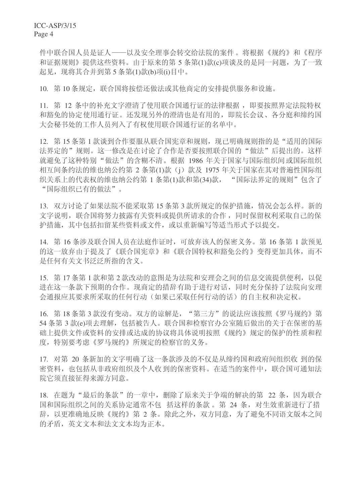件中联合国人员是证人——以及安全理事会转交给法院的案件。将根据《规约》和《程序 和证据规则》提供这些资料。由于原来的第5条第(1)款(c)项谈及的是同一问题, 为了一致 起见, 现将其合并到第5条第(1)款(b)项(i)目中。

10. 第10条规定, 联合国将按偿还做法或其他商定的安排提供服务和设施。

11. 第 12 条中的补充文字澄清了使用联合国通行证的法律根据, 即要按照界定法院特权 和豁免的协定使用通行证。还发现另外的澄清也是有用的,即院长会议、各分庭和缔约国 大会秘书处的工作人员列入了有权使用联合国通行证的名单中。

12. 第15条第1款谈到合作要服从联合国宪章和规则, 现已明确规则指的是"适用的国际 法界定的"规则。这一修改是在讨论了合作是否要按照联合国的"做法"后提出的。这样 就避免了这种特别"做法"的含糊不清。根据 1986 年关于国家与国际组织间或国际组织 相互间条约法的维也纳公约第 2 条第(1)款 (j) 款及 1975 年关于国家在其对普遍性国际组 织关系上的代表权的维也纳公约第1条第(1)款和第(34)款, "国际法界定的规则"包含了 "国际组织已有的做法"。

13. 双方讨论了如果法院不能采取第 15 条第 3 款所规定的保护措施, 情况会怎么样。新的 文字说明, 联合国将努力披露有关资料或提供所请求的合作, 同时保留权利采取自己的保 护措施, 其中包括扣留某些资料或文件, 或以重新编写等适当形式予以提交。

14. 第16条涉及联合国人员在法庭作证时,可放弃该人的保密义务。第16条第1款预见 的这一放弃由于提及了《联合国宪章》和《联合国特权和豁免公约》变得更加具体,而不 是任何有关文书泛泛所指的含义。

15. 第17条第1款和第2款改动的意图是为法院和安理会之间的信息交流提供便利, 以促 进在这一条款下预期的合作。现商定的措辞有助于进行对话,同时充分保持了法院向安理 会通报应其要求所采取的任何行动(如果已采取任何行动的话)的自主权和决定权。

16. 第18条第3款没有变动。双方的谅解是, "第三方"的说法应该按照《罗马规约》第 54 条第 3 款(e)项去理解, 包括被告人。联合国和检察官办公室随后做出的关于在保密的基 础上提供文件或资料的安排或达成的协议将具体说明按照《规约》规定的保护的性质和程 度, 特别要考虑《罗马规约》所规定的检察官的义务。

17. 对第 20 条新加的文字明确了这一条款涉及的不仅是从缔约国和政府间组织收 到的保 密资料, 也包括从非政府组织及个人收到的保密资料。在适当的案件中, 联合国可通知法 院它须直接征得来源方同意。

18. 在题为"最后的条款"的一章中, 删除了原来关于争端的解决的第 22 条, 因为联合 国和国际组织之间的关系协定通常不包 括这样的条款。第24条,对生效重新讲行了措 辞, 以更准确地反映《规约》第 2 条。除此之外, 双方同意, 为了避免不同语文版本之间 的矛盾, 英文文本和法文文本均为正本。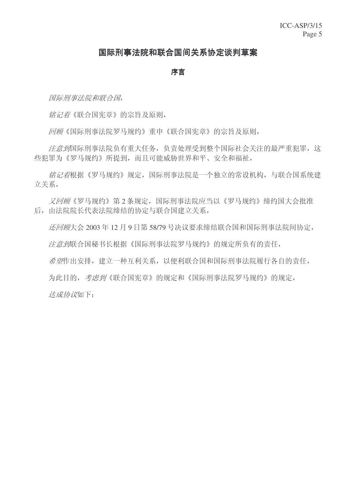#### 国际刑事法院和联合国间关系协定谈判草案

#### 序言

国际刑事法院和联合国,

铭记着《联合国宪章》的宗旨及原则,

回顾《国际刑事法院罗马规约》重申《联合国宪章》的宗旨及原则,

注意到国际刑事法院负有重大任务,负责处理受到整个国际社会关注的最严重犯罪,这 些犯罪为《罗马规约》所提到,而且可能威胁世界和平、安全和福祉,

铭记着根据《罗马规约》规定,国际刑事法院是一个独立的常设机构,与联合国系统建 立关系,

又回顾《罗马规约》第2条规定, 国际刑事法院应当以《罗马规约》缔约国大会批准 后, 由法院院长代表法院缔结的协定与联合国建立关系,

 $E$  *还回顾*大会 2003 年 12 月 9 日第 58/79 号决议要求缔结联合国和国际刑事法院间协定,

注意到联合国秘书长根据《国际刑事法院罗马规约》的规定所负有的责任,

希望作出安排, 建立一种互利关系, 以便利联合国和国际刑事法院履行各自的责任,

为此目的, 考虑到《联合国宪章》的规定和《国际刑事法院罗马规约》的规定,

达成协议如下: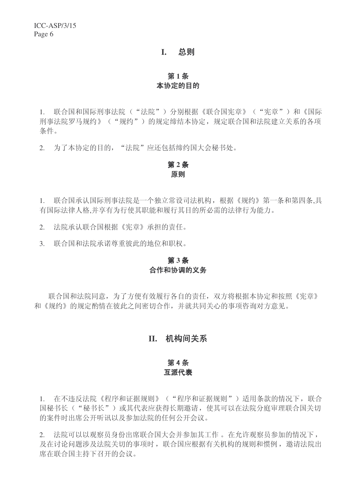#### **I.** 总则

#### 第1条 本协定的目的

1. 联合国和国际刑事法院("法院")分别根据《联合国宪章》("宪章")和《国际 刑事法院罗马规约》("规约")的规定缔结本协定,规定联合国和法院建立关系的各项 条件。

2. 为了本协定的目的, "法院"应还包括缔约国大会秘书处。

#### 第2条 原则

1. 联合国承认国际刑事法院是一个独立常设司法机构,根据《规约》第一条和第四条,具 有国际法律人格,并享有为行使其职能和履行其目的所必需的法律行为能力。

2. 洗院承认联合国根据《宪章》承担的责任。

3. 联合国和法院承诺尊重彼此的地位和职权。

#### 第3条 合作和协调的义务

联合国和法院同意, 为了方便有效履行各自的责任, 双方将根据本协定和按照《宪章》 和《规约》的规定酌情在彼此之间密切合作,并就共同关心的事项咨询对方意见。

#### **II.** 机构间关系

#### 第4条 互派代表

1. 在不违反法院《程序和证据规则》("程序和证据规则")适用条款的情况下,联合 国秘书长("秘书长")或其代表应获得长期邀请, 使其可以在法院分庭审理联合国关切 的案件时出席公开听讯以及参加法院的任何公开会议。

2. 法院可以以观察员身份出席联合国大会并参加其工作。在允许观察员参加的情况下, 及在讨论问题涉及法院关切的事项时, 联合国应根据有关机构的规则和惯例, 邀请法院出 席在联合国主持下召开的会议。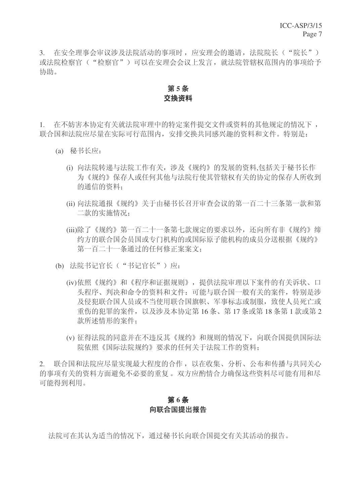3. 在安全理事会审议涉及法院活动的事项时,应安理会的邀请,法院院长("院长") 或法院检察官("检察官")可以在安理会会议上发言, 就法院管辖权范围内的事项给予 协助。

# 第5条 交换资料

1. 在不妨害本协定有关就法院审理中的特定案件提交文件或资料的基他规定的情况下, 联合国和法院应尽量在实际可行范围内, 安排交换共同感兴趣的资料和文件。特别是:

- (a) 秘书长应:
	- (i) 向法院转递与法院工作有关, 涉及《规约》的发展的资料,包括关于秘书长作 为《规约》保存人或任何其他与法院行使其管辖权有关的协定的保存人所收到 的通信的资料:
	- (ii) 向法院通报《规约》关于由秘书长召开审杳会议的第一百二十三条第一款和第 二款的实施情况:
	- (iii)除了《规约》第一百二十一条第七款规定的要求以外,还向所有非《规约》缔 约方的联合国会员国或专门机构的或国际原子能机构的成员分送根据《规约》 第一百二十一条通过的任何修正案案文;
- (b) 法院书记官长("书记官长")应:
	- (iv)依照《规约》和《程序和证据规则》, 提供法院审理以下案件的有关诉状、口 头程序、判决和命令的资料和文件:可能与联合国一般有关的案件,特别是涉 及侵犯联合国人员或不当使用联合国旗帜、军事标志或制服, 致使人员死亡或 重伤的犯罪的案件,以及涉及本协定第16条、第17条或第18条第1款或第2 款所述情形的案件:
	- (v) 征得法院的同意并在不违反其《规约》和规则的情况下,向联合国提供国际法 院依照《国际法院规约》要求的任何关于法院工作的资料:

2. 联合国和法院应尽量实现最大程度的合作,以在收集、分析、公布和传播与共同关心 的事项有关的资料方面避免不必要的重复。双方应酌情合力确保这些资料尽可能有用和尽 可能得到利用。

#### 第6条 向联合国提出报告

法院可在其认为适当的情况下, 通过秘书长向联合国提交有关其活动的报告。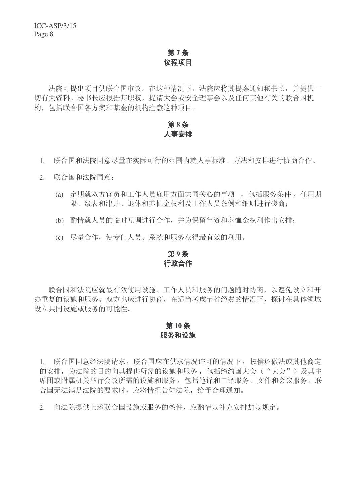# 第7条 议程项目

法院可提出项目供联合国审议。在这种情况下, 法院应将其提案通知秘书长, 并提供一 切有关资料。秘书长应根据其职权,提请大会或安全理事会以及任何其他有关的联合国机 构,包括联合国各方案和基金的机构注意这种项目。

# 第8条 人事安排

- 1. 联合国和法院同意尽量在实际可行的范围内就人事标准、方法和安排进行协商合作。
- 2. 联合国和法院同意:
	- (a) 定期就双方官员和工作人员雇用方面共同关心的事项, 包括服务条件、任用期 限、级表和津贴、退休和养恤金权利及工作人员条例和细则进行磋商:
	- (b) 酌情就人员的临时互调进行合作, 并为保留年资和养恤金权利作出安排:
	- (c) 尽量合作, 使专门人员、系统和服务获得最有效的利用。

# 第9条 行政合作

联合国和法院应就最有效使用设施、工作人员和服务的问题随时协商,以避免设立和开 办重复的设施和服务。双方也应进行协商, 在适当考虑节省经费的情况下, 探讨在具体领域 设立共同设施或服务的可能性。

#### 第10条 服务和设施

1. 联合国意经法院请求,联合国应在供求情况许可的情况下,按偿还做法或其他商定 的安排,为法院的目的向其提供所需的设施和服务, 包括缔约国大会("大会")及其主 席团或附属机关举行会议所需的设施和服务, 包括笔译和口译服务、文件和会议服务。联 合国无法满足法院的要求时, 应将情况告知法院, 给予合理通知。

2. 向法院提供上述联合国设施或服务的条件, 应酌情以补充安排加以规定。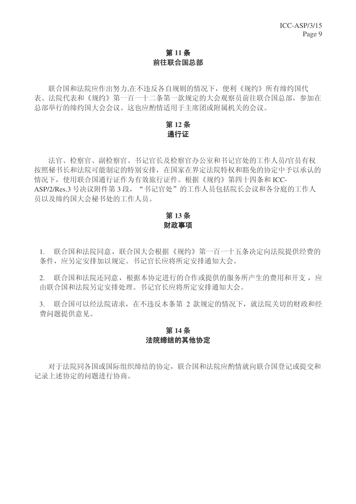# 第11条 前往联合国总部

联合国和法院应作出努力,在不违反各自规则的情况下, 便利《规约》所有缔约国代 表、法院代表和《规约》第一百一十二条第一款规定的大会观察员前往联合国总部,参加在 总部举行的缔约国大会会议。这也应酌情适用于主席团或附属机关的会议。

#### 第12条 通行证

法官、检察官、副检察官、书记官长及检察官办公室和书记官处的工作人员/官员有权 按照秘书长和法院可能制定的特别安排, 在国家在界定法院特权和豁免的协定中予以承认的 情况下, 使用联合国通行证作为有效旅行证件。根据《规约》第四十四条和 ICC-ASP/2/Res.3 号决议附件第3段, "书记官处"的工作人员包括院长会议和各分庭的工作人 员以及缔约国大会秘书处的工作人员。

# 第13条 财政事项

1. 联合国就院同意,联合国大会根据《规约》第一百一十五条决定向法院提供经费的 条件, 应另定安排加以规定。书记官长应将所定安排通知大会。

2. 联合国和法院还同意,根据本协定进行的合作或提供的服务所产生的费用和开支,应 由联合国和法院另定安排处理。书记官长应将所定安排通知大会。

3. 联合国可以经法院请求, 在不违反本条第 2 款规定的情况下, 就法院关切的财政和经 费问题提供意见。

#### **第14条** 法院缔结的其他协定

对于法院同各国或国际组织缔结的协定, 联合国和法院应酌情就向联合国登记或提交和 记录上述协定的问题进行协商。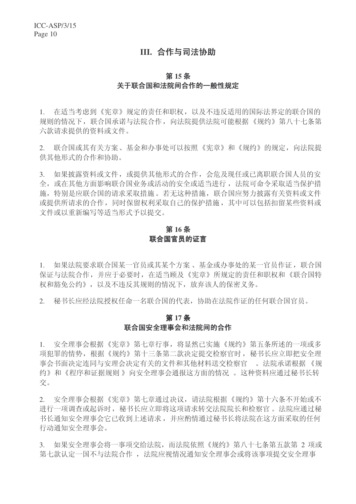## III. 合作与司法协助

#### **第15条** 关于联合国和法院间合作的一般性规定

1. 在适当考虑到《宪章》规定的责任和职权,以及不违反适用的国际法界定的联合国的 规则的情况下, 联合国承诺与法院合作, 向法院提供法院可能根据《规约》第八十七条第 六款请求提供的资料或文件。

2. 联合国或其有关方案、基金和办事处可以按照《宪章》和《规约》的规定,向法院提 供其他形式的合作和协助。

3. 如果披露资料或文件, 或提供其他形式的合作, 会危及现任或已离职联合国人员的安 全, 或在其他方面影响联合国业务或活动的安全或适当进行, 法院可命令采取适当保护措 施, 特别是应联合国的请求采取措施。若无这种措施, 联合国应努力披露有关资料或文件 或提供所请求的合作,同时保留权利采取自己的保护措施,其中可以包括扣留某些资料或 文件或以重新编写等适当形式予以提交。

#### 第16条 联合国官员的证言

1. 如果法院要求联合国某一官员或其某个方案、基金或办事处的某一官员作证, 联合国 保证与法院合作,并应于必要时,在适当顾及《宪章》所规定的责任和职权和《联合国特 权和豁免公约》,以及不违反其规则的情况下,放弃该人的保密义务。

2. 秘书长应经法院授权任命一名联合国的代表,协助在法院作证的任何联合国官员。

#### 第17条 联合国安全理事会和法院间的合作

1. 安全理事会根据《宪章》第七章行事,将显然已实施《规约》第五条所述的一项或多 项犯罪的情势,根据《规约》第十三条第二款决定提交检察官时,秘书长应立即把安全理 事会书面决定连同与安理会决定有关的文件和其他材料送交检察官。。法院承诺根据《规 约》和《程序和证据规则》向安全理事会通报这方面的情况。这种资料应通过秘书长转 交。

2. 安全理事会根据《宪章》第七章通过决议,请法院根据《规约》第十六条不开始或不 进行一项调杳或起诉时, 秘书长应立即将这项请求转交法院院长和检察官。法院应通过秘 书长通知安全理事会它已收到上述请求,并应酌情通过秘书长将法院在这方面采取的任何 行动通知安全理事会。

3. 如果安全理事会将一事项交给法院,而法院依照《规约》第八十七条第五款第 2 项或 第七款认定一国不与法院合作, 法院应视情况通知安全理事会或将该事项提交安全理事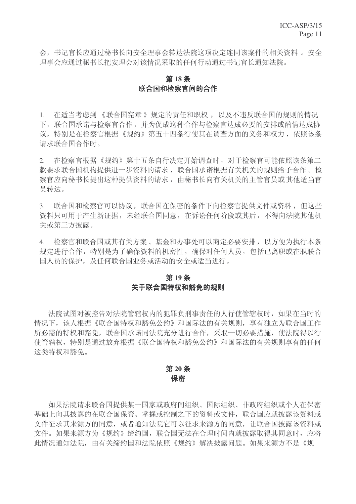会, 书记官长应通过秘书长向安全理事会转达法院这项决定连同该案件的相关资料。安全 理事会应通过秘书长把安理会对该情况采取的任何行动通过书记官长通知法院。

#### 第18条 联合国和检察官间的合作

1. 在适当考虑到《联合国宪章》规定的责任和职权, 以及不违反联合国的规则的情况 下, 联合国承诺与检察官合作, 并为促成这种合作与检察官达成必要的安排或酌情达成协 议, 特别是在检察官根据《规约》第五十四条行使其在调查方面的义务和权力, 依照该条 请求联合国合作时。

2. 在检察官根据《规约》第十五条自行决定开始调查时, 对于检察官可能依照该条第二 款要求联合国机构提供进一步资料的请求, 联合国承诺根据有关机关的规则给予合作。检 察官应向秘书长提出这种提供资料的请求,由秘书长向有关机关的主管官员或其他适当官 员转达。

3. 联合国和检察官可以协议, 联合国在保密的条件下向检察官提供文件或资料, 但这些 资料只可用于产生新证据,未经联合国同意,在诉讼任何阶段或其后,不得向法院其他机 关或第三方披露。

4. 检察官和联合国或其有关方案、基金和办事处可以商定必要安排,以方便为执行本条 规定进行合作,特别是为了确保资料的机密性,确保对任何人员,包括已离职或在职联合 国人员的保护,及任何联合国业务或活动的安全或适当进行。

#### 第19条 关于联合国特权和豁免的规则

法院试图对被控告对法院管辖权内的犯罪负刑事责任的人行使管辖权时, 如果在当时的 情况下, 该人根据《联合国特权和豁免公约》和国际法的有关规则, 享有独立为联合国工作 所必需的特权和豁免, 联合国承诺同法院充分进行合作, 采取一切必要措施, 使法院得以行 使管辖权,特别是通过放弃根据《联合国特权和豁免公约》和国际法的有关规则享有的任何 这类特权和豁免。

#### 第20条 保密

如果法院请求联合国提供某一国家或政府间组织、国际组织、非政府组织或个人在保密 基础上向其披露的在联合国保管、掌握或控制之下的资料或文件, 联合国应就披露该资料或 文件征求其来源方的同意, 或者通知法院它可以征求来源方的同意, 计联合国披露该资料或 文件。如果来源方为《规约》缔约国, 联合国无法在合理时间内就披露取得其同意时, 应将 此情况通知法院。申有关缔约国和法院依照《规约》解决披露问题。如果来源方不是《规